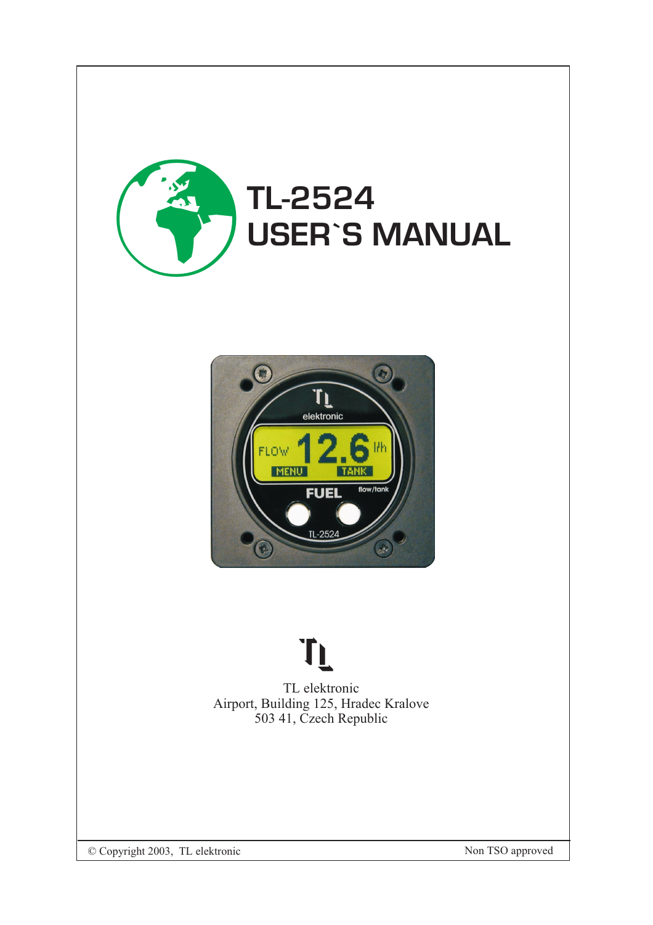



# TL

TL elektronic Airport, Building 125, Hradec Kralove 503 41, Czech Republic

© Copyright 2003, TL elektronic Non TSO approved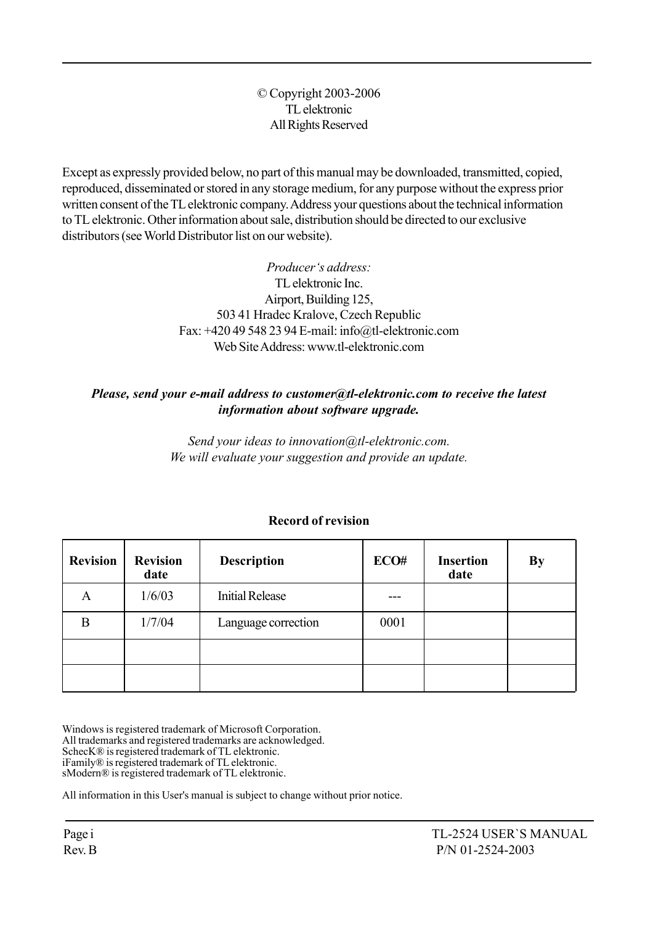#### © Copyright 2003-2006 TL elektronic All Rights Reserved

Except as expressly provided below, no part of this manual may be downloaded, transmitted, copied, reproduced, disseminated or stored in any storage medium, for any purpose without the express prior written consent of the TL elektronic company. Address your questions about the technical information to TL elektronic. Other information about sale, distribution should be directed to our exclusive distributors (see World Distributor list on our website).

> Producer's address: TL elektronic Inc. Airport, Building 125, 503 41 Hradec Kralove, Czech Republic Fax: +420 49 548 23 94 E-mail: info@tl-elektronic.com Web Site Address: www.tl-elektronic.com

#### Please, send your e-mail address to customer@tl-elektronic.com to receive the latest information about software upgrade.

Send your ideas to innovation@tl-elektronic.com. We will evaluate your suggestion and provide an update.

| <b>Revision</b> | <b>Revision</b><br>date | <b>Description</b>     | ECO# | <b>Insertion</b><br>date | By |
|-----------------|-------------------------|------------------------|------|--------------------------|----|
| А               | 1/6/03                  | <b>Initial Release</b> |      |                          |    |
| B               | 1/7/04                  | Language correction    | 0001 |                          |    |
|                 |                         |                        |      |                          |    |
|                 |                         |                        |      |                          |    |

#### Record of revision

Windows is registered trademark of Microsoft Corporation. All trademarks and registered trademarks are acknowledged. SchecK® is registered trademark of TL elektronic. iFamilyÆ is registered trademark of TL elektronic. sModern® is registered trademark of TL elektronic.

All information in this User's manual is subject to change without prior notice.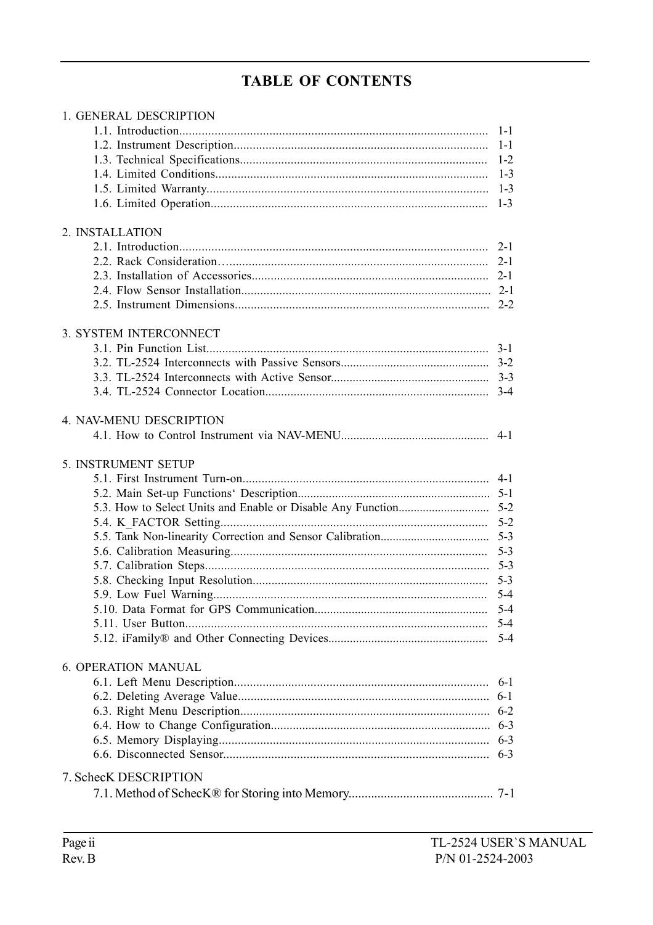# **TABLE OF CONTENTS**

| 1. GENERAL DESCRIPTION     |         |
|----------------------------|---------|
|                            | $1 - 1$ |
|                            | $1 - 1$ |
|                            |         |
|                            |         |
|                            |         |
|                            | $1 - 3$ |
|                            |         |
| 2. INSTALLATION            |         |
|                            |         |
|                            |         |
|                            |         |
|                            |         |
|                            |         |
|                            |         |
| 3. SYSTEM INTERCONNECT     |         |
|                            |         |
|                            |         |
|                            |         |
|                            |         |
| 4. NAV-MENU DESCRIPTION    |         |
|                            | $4 - 1$ |
|                            |         |
| 5. INSTRUMENT SETUP        |         |
|                            |         |
|                            |         |
|                            |         |
|                            |         |
|                            |         |
|                            | $5 - 3$ |
|                            |         |
|                            |         |
|                            | $5 - 4$ |
|                            | $5 - 4$ |
|                            | $5 - 4$ |
|                            | $5 - 4$ |
|                            |         |
| <b>6. OPERATION MANUAL</b> |         |
|                            | $6-1$   |
|                            | $6-1$   |
|                            | $6 - 2$ |
|                            |         |
|                            |         |
|                            | $6 - 3$ |
| 7. SchecK DESCRIPTION      |         |
|                            |         |
|                            |         |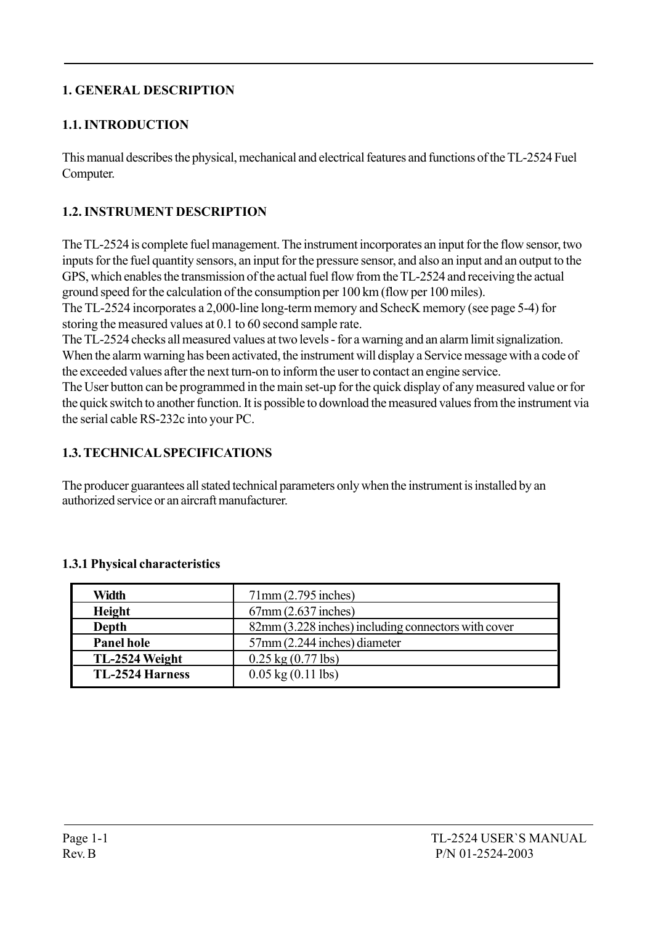#### 1. GENERAL DESCRIPTION

#### 1.1. INTRODUCTION

This manual describes the physical, mechanical and electrical features and functions of the TL-2524 Fuel Computer.

#### 1.2. INSTRUMENT DESCRIPTION

The TL-2524 is complete fuel management. The instrument incorporates an input for the flow sensor, two inputs for the fuel quantity sensors, an input for the pressure sensor, and also an input and an output to the GPS, which enables the transmission of the actual fuel flow from the TL-2524 and receiving the actual ground speed for the calculation of the consumption per 100 km (flow per 100 miles).

The TL-2524 incorporates a 2,000-line long-term memory and SchecK memory (see page 5-4) for storing the measured values at 0.1 to 60 second sample rate.

The TL-2524 checks all measured values at two levels - for a warning and an alarm limit signalization. When the alarm warning has been activated, the instrument will display a Service message with a code of the exceeded values after the next turn-on to inform the user to contact an engine service.

The User button can be programmed in the main set-up for the quick display of any measured value or for the quick switch to another function. It is possible to download the measured values from the instrument via the serial cable RS-232c into your PC.

#### 1.3. TECHNICAL SPECIFICATIONS

The producer guarantees all stated technical parameters only when the instrument is installed by an authorized service or an aircraft manufacturer.

| Width                                             | $71$ mm $(2.795$ inches)                            |
|---------------------------------------------------|-----------------------------------------------------|
| $67$ mm $(2.637$ inches)<br><b>Height</b>         |                                                     |
| Depth                                             | 82mm (3.228 inches) including connectors with cover |
| 57mm (2.244 inches) diameter<br><b>Panel hole</b> |                                                     |
| TL-2524 Weight                                    | $0.25 \text{ kg} (0.77 \text{ lbs})$                |
| <b>TL-2524 Harness</b>                            | $0.05 \text{ kg} (0.11 \text{ lbs})$                |

#### 1.3.1 Physical characteristics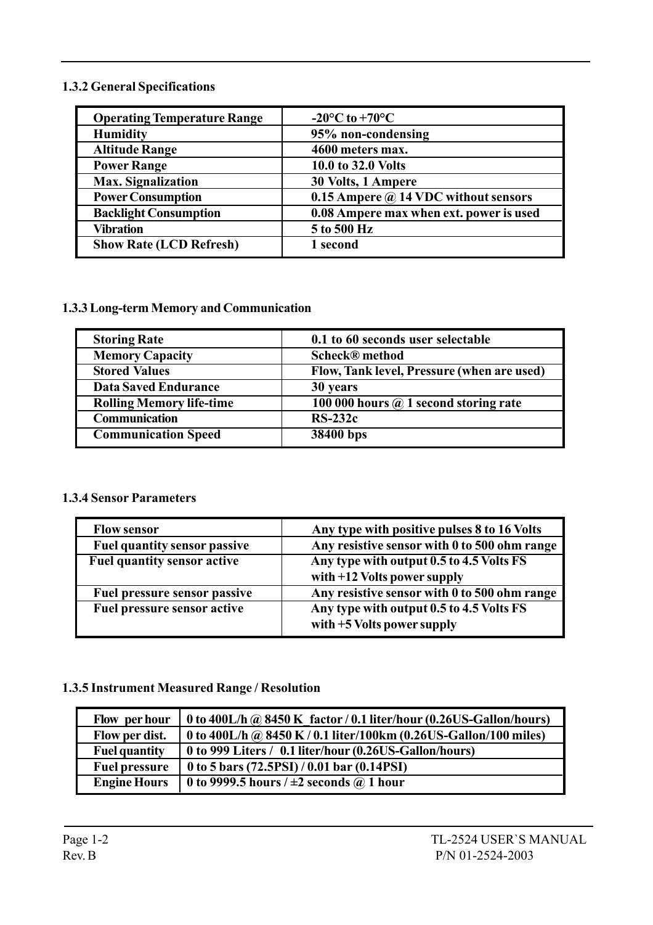#### 1.3.2 General Specifications

| <b>Operating Temperature Range</b> | $-20^{\circ}$ C to $+70^{\circ}$ C          |
|------------------------------------|---------------------------------------------|
| <b>Humidity</b>                    | 95% non-condensing                          |
| <b>Altitude Range</b>              | 4600 meters max.                            |
| <b>Power Range</b>                 | 10.0 to 32.0 Volts                          |
| <b>Max.</b> Signalization          | 30 Volts, 1 Ampere                          |
| <b>Power Consumption</b>           | 0.15 Ampere $\omega$ 14 VDC without sensors |
| <b>Backlight Consumption</b>       | 0.08 Ampere max when ext. power is used     |
| <b>Vibration</b>                   | 5 to 500 Hz                                 |
| <b>Show Rate (LCD Refresh)</b>     | 1 second                                    |

#### 1.3.3 Long-term Memory and Communication

| 0.1 to 60 seconds user selectable            |
|----------------------------------------------|
| <b>Scheck®</b> method                        |
| Flow, Tank level, Pressure (when are used)   |
| 30 years                                     |
| 100 000 hours $\omega$ 1 second storing rate |
| $RS-232c$                                    |
| 38400 bps                                    |
|                                              |

#### 1.3.4 Sensor Parameters

| <b>Flow sensor</b>                  | Any type with positive pulses 8 to 16 Volts                               |
|-------------------------------------|---------------------------------------------------------------------------|
| <b>Fuel quantity sensor passive</b> | Any resistive sensor with 0 to 500 ohm range                              |
| <b>Fuel quantity sensor active</b>  | Any type with output 0.5 to 4.5 Volts FS<br>with $+12$ Volts power supply |
| Fuel pressure sensor passive        | Any resistive sensor with 0 to 500 ohm range                              |
| <b>Fuel pressure sensor active</b>  | Any type with output 0.5 to 4.5 Volts FS<br>with $+5$ Volts power supply  |

#### 1.3.5 Instrument Measured Range / Resolution

| Flow per hour        | 0 to 400L/h @ 8450 K factor / 0.1 liter/hour (0.26US-Gallon/hours) |
|----------------------|--------------------------------------------------------------------|
| Flow per dist.       | 0 to 400L/h @ 8450 K / 0.1 liter/100km (0.26US-Gallon/100 miles)   |
| <b>Fuel quantity</b> | 0 to 999 Liters / 0.1 liter/hour (0.26US-Gallon/hours)             |
| <b>Fuel pressure</b> | 0 to 5 bars $(72.5PSI)/0.01$ bar $(0.14PSI)$                       |
| <b>Engine Hours</b>  | 0 to 9999.5 hours $/ \pm 2$ seconds $\omega$ 1 hour                |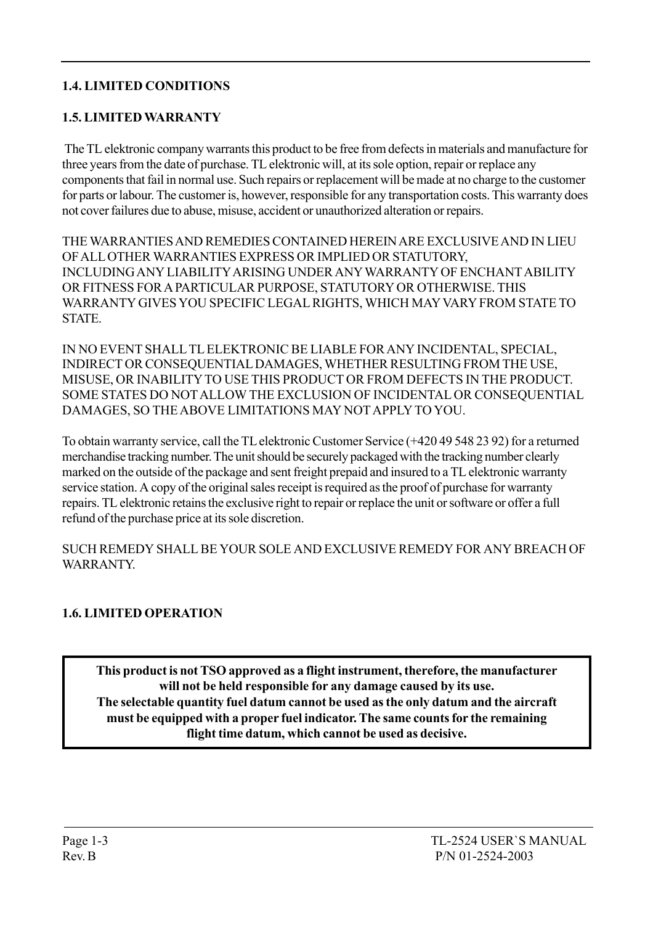#### 1.4. LIMITED CONDITIONS

#### 1.5. LIMITED WARRANTY

 The TL elektronic company warrants this product to be free from defects in materials and manufacture for three years from the date of purchase. TL elektronic will, at its sole option, repair or replace any components that fail in normal use. Such repairs or replacement will be made at no charge to the customer for parts or labour. The customer is, however, responsible for any transportation costs. This warranty does not cover failures due to abuse, misuse, accident or unauthorized alteration or repairs.

THE WARRANTIES AND REMEDIES CONTAINED HEREIN ARE EXCLUSIVE AND IN LIEU OF ALL OTHER WARRANTIES EXPRESS OR IMPLIED OR STATUTORY, INCLUDING ANY LIABILITY ARISING UNDER ANY WARRANTY OF ENCHANT ABILITY OR FITNESS FOR A PARTICULAR PURPOSE, STATUTORY OR OTHERWISE. THIS WARRANTY GIVES YOU SPECIFIC LEGAL RIGHTS, WHICH MAY VARY FROM STATE TO **STATE** 

IN NO EVENT SHALL TL ELEKTRONIC BE LIABLE FOR ANY INCIDENTAL, SPECIAL, INDIRECT OR CONSEQUENTIAL DAMAGES, WHETHER RESULTING FROM THE USE, MISUSE, OR INABILITY TO USE THIS PRODUCT OR FROM DEFECTS IN THE PRODUCT. SOME STATES DO NOT ALLOW THE EXCLUSION OF INCIDENTAL OR CONSEQUENTIAL DAMAGES, SO THE ABOVE LIMITATIONS MAY NOT APPLY TO YOU.

To obtain warranty service, call the TL elektronic Customer Service (+420 49 548 23 92) for a returned merchandise tracking number. The unit should be securely packaged with the tracking number clearly marked on the outside of the package and sent freight prepaid and insured to a TL elektronic warranty service station. A copy of the original sales receipt is required as the proof of purchase for warranty repairs. TL elektronic retains the exclusive right to repair or replace the unit or software or offer a full refund of the purchase price at its sole discretion.

SUCH REMEDY SHALL BE YOUR SOLE AND EXCLUSIVE REMEDY FOR ANY BREACH OF WARRANTY.

#### 1.6. LIMITED OPERATION

This product is not TSO approved as a flight instrument, therefore, the manufacturer will not be held responsible for any damage caused by its use. The selectable quantity fuel datum cannot be used as the only datum and the aircraft must be equipped with a proper fuel indicator. The same counts for the remaining flight time datum, which cannot be used as decisive.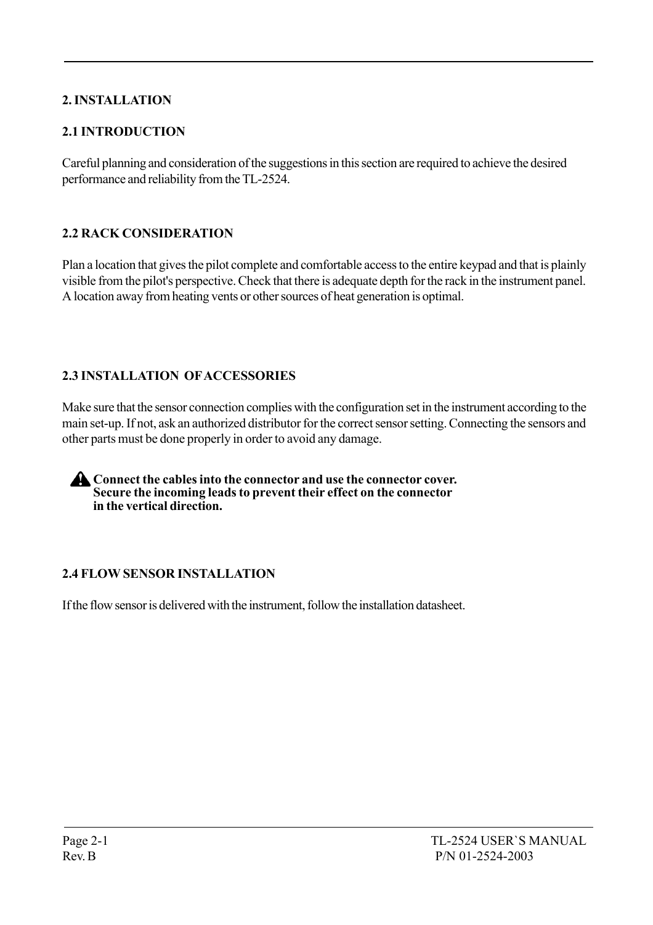### 2. INSTALLATION

#### 2.1 INTRODUCTION

Careful planning and consideration of the suggestions in this section are required to achieve the desired performance and reliability from the TL-2524.

#### 2.2 RACK CONSIDERATION

Plan a location that gives the pilot complete and comfortable access to the entire keypad and that is plainly visible from the pilot's perspective. Check that there is adequate depth for the rack in the instrument panel. A location away from heating vents or other sources of heat generation is optimal.

#### 2.3 INSTALLATION OF ACCESSORIES

Make sure that the sensor connection complies with the configuration set in the instrument according to the main set-up. If not, ask an authorized distributor for the correct sensor setting. Connecting the sensors and other parts must be done properly in order to avoid any damage.

**A** Connect the cables into the connector and use the connector cover. Secure the incoming leads to prevent their effect on the connector in the vertical direction.

#### 2.4 FLOW SENSOR INSTALLATION

If the flow sensor is delivered with the instrument, follow the installation datasheet.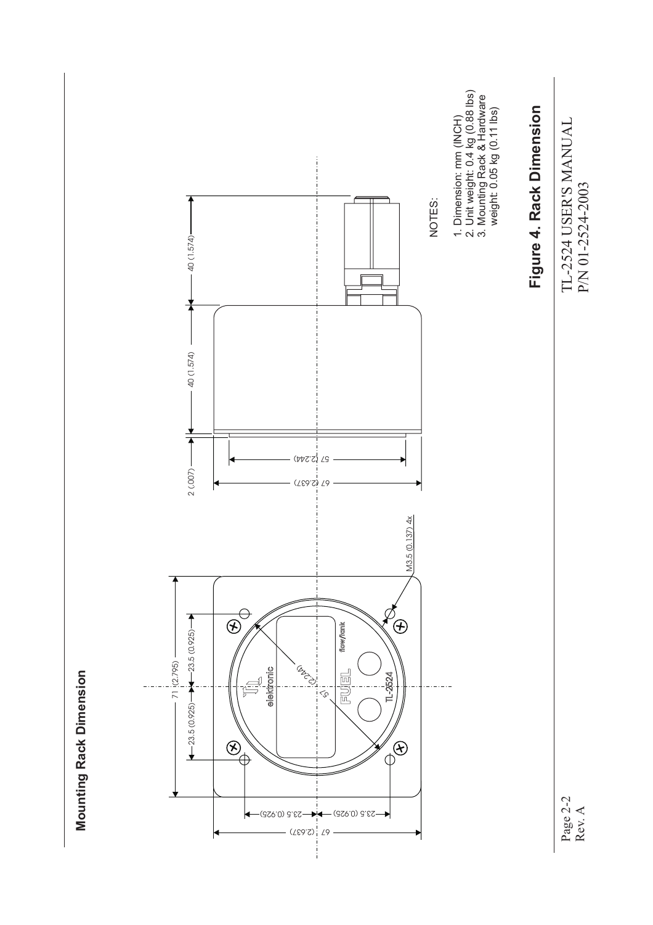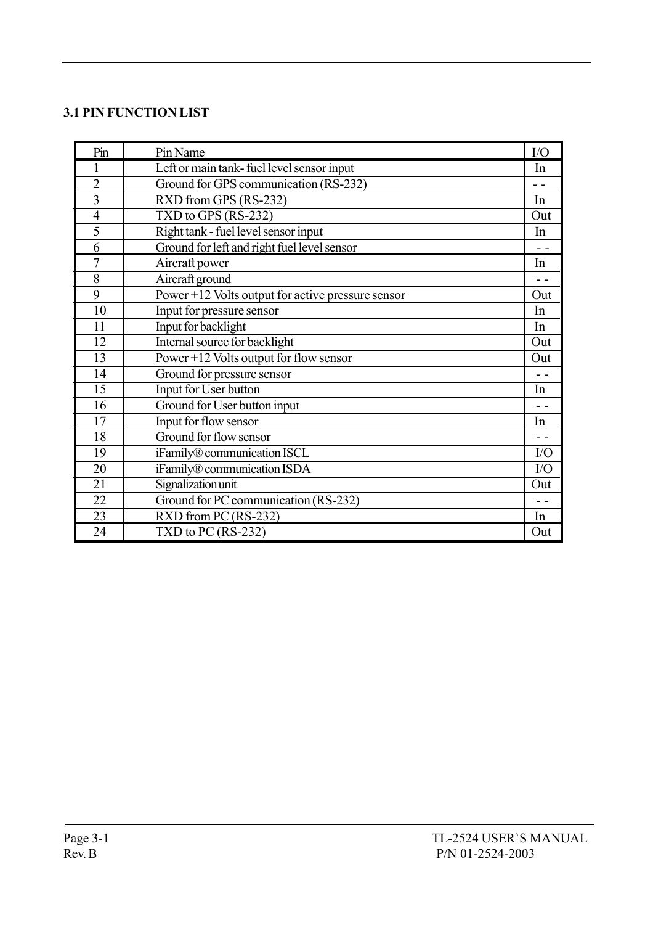#### 3.1 PIN FUNCTION LIST

| Pin             | Pin Name                                          | I/O             |
|-----------------|---------------------------------------------------|-----------------|
| 1               | Left or main tank-fuel level sensor input         | In              |
| $\overline{2}$  | Ground for GPS communication (RS-232)             | $\sim$ $\sim$   |
| $\overline{3}$  | RXD from GPS (RS-232)                             | In              |
| $\overline{4}$  | TXD to GPS (RS-232)                               | Out             |
| 5               | Right tank - fuel level sensor input              | In              |
| 6               | Ground for left and right fuel level sensor       | $\overline{a}$  |
| $\overline{7}$  | Aircraft power                                    | In              |
| 8               | Aircraft ground                                   |                 |
| 9               | Power +12 Volts output for active pressure sensor | Out             |
| 10              | Input for pressure sensor                         | In              |
| 11              | Input for backlight                               | In              |
| 12              | Internal source for backlight                     | Out             |
| $\overline{13}$ | Power $+12$ Volts output for flow sensor          | Out             |
| 14              | Ground for pressure sensor                        | $ -$            |
| 15              | Input for User button                             | In              |
| 16              | Ground for User button input                      | - -             |
| 17              | Input for flow sensor                             | In              |
| 18              | Ground for flow sensor                            |                 |
| $\overline{19}$ | iFamily® communication ISCL                       | $\overline{IO}$ |
| 20              | iFamily® communication ISDA                       | I/O             |
| $\overline{21}$ | Signalization unit                                | Out             |
| 22              | Ground for PC communication (RS-232)              |                 |
| 23              | RXD from PC (RS-232)                              | In              |
| 24              | TXD to PC $(RS-232)$                              | Out             |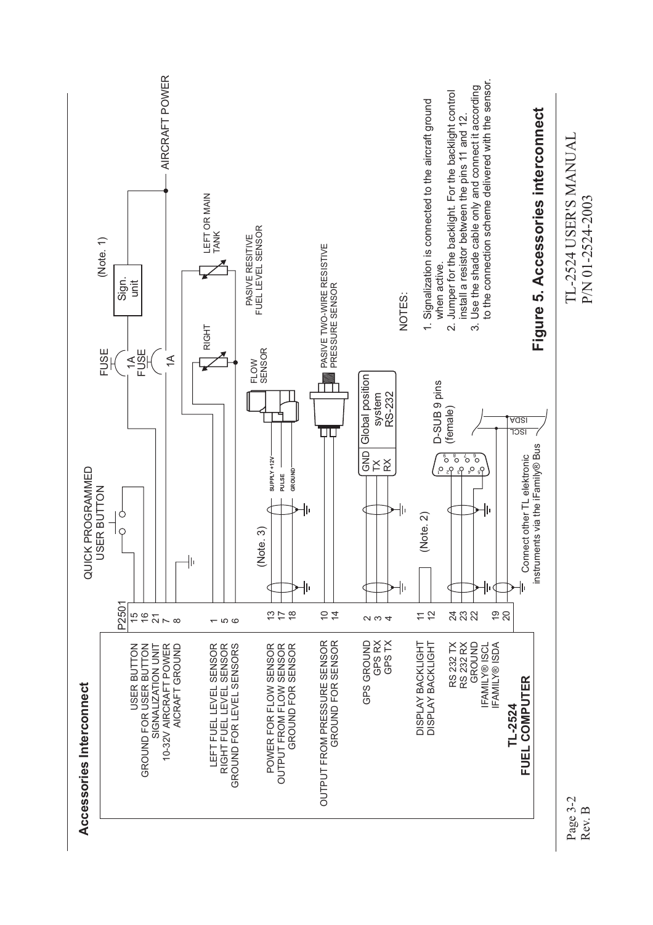

Rev. B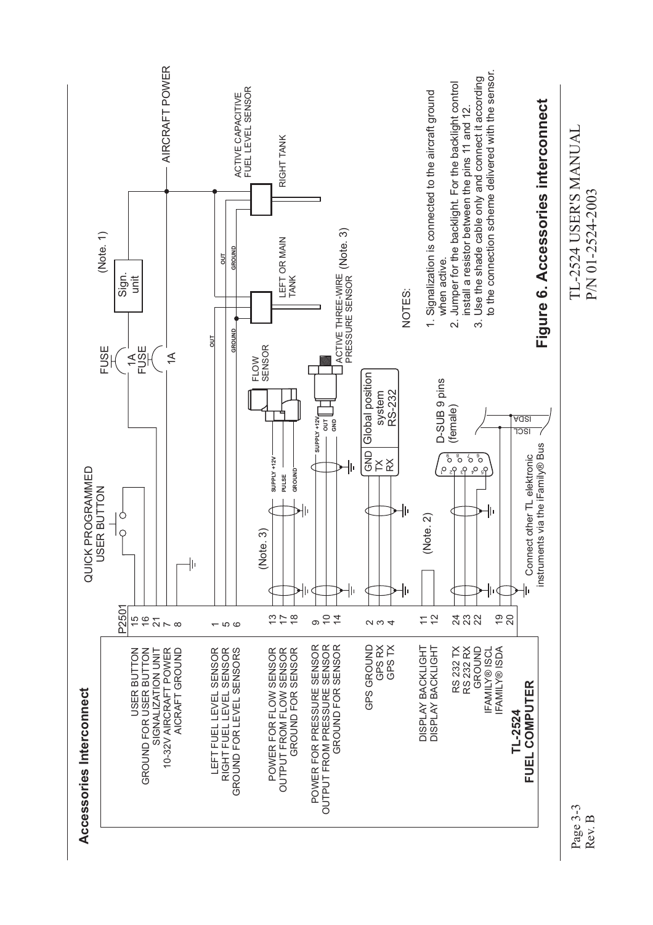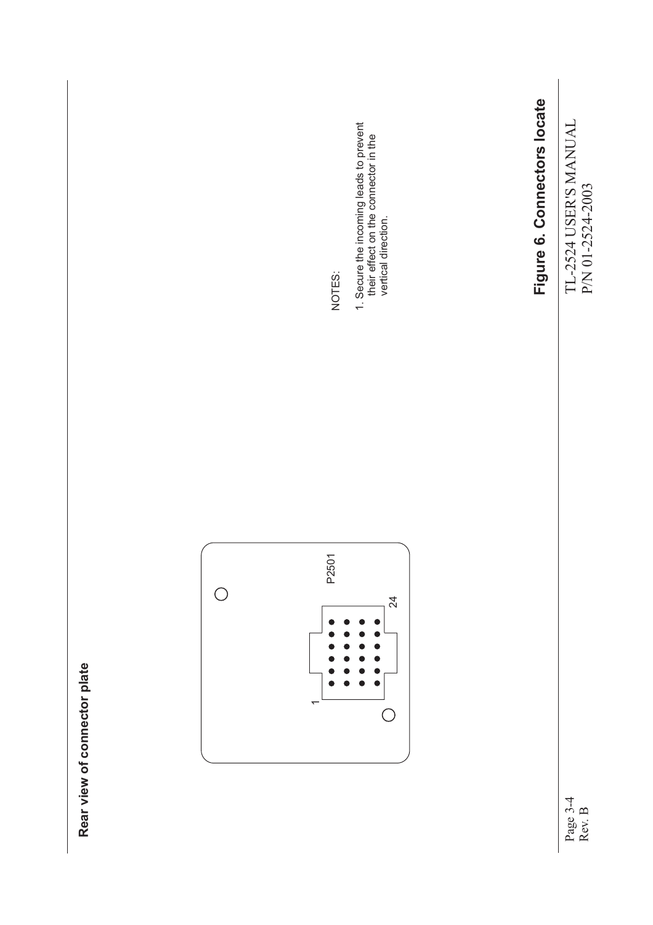

Page 3-4 Rev. B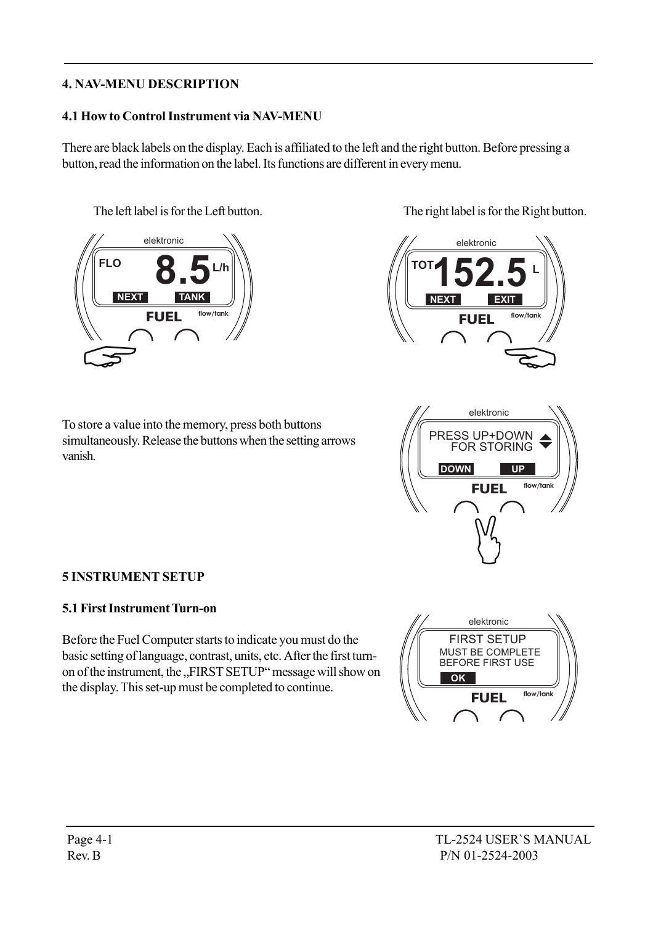#### 4. NAV-MENU DESCRIPTION

#### 4.1 How to Control Instrument via NAV-MENU

There are black labels on the display. Each is affiliated to the left and the right button. Before pressing a button, read the information on the label. Its functions are different in every menu.



The left label is for the Left button. The right label is for the Right button.



To store a value into the memory, press both buttons simultaneously. Release the buttons when the setting arrows vanish.



#### 5 INSTRUMENT SETUP

#### 5.1 First Instrument Turn-on

Before the Fuel Computer starts to indicate you must do the basic setting of language, contrast, units, etc. After the first turnon of the instrument, the "FIRST SETUP" message will show on the display. This set-up must be completed to continue.

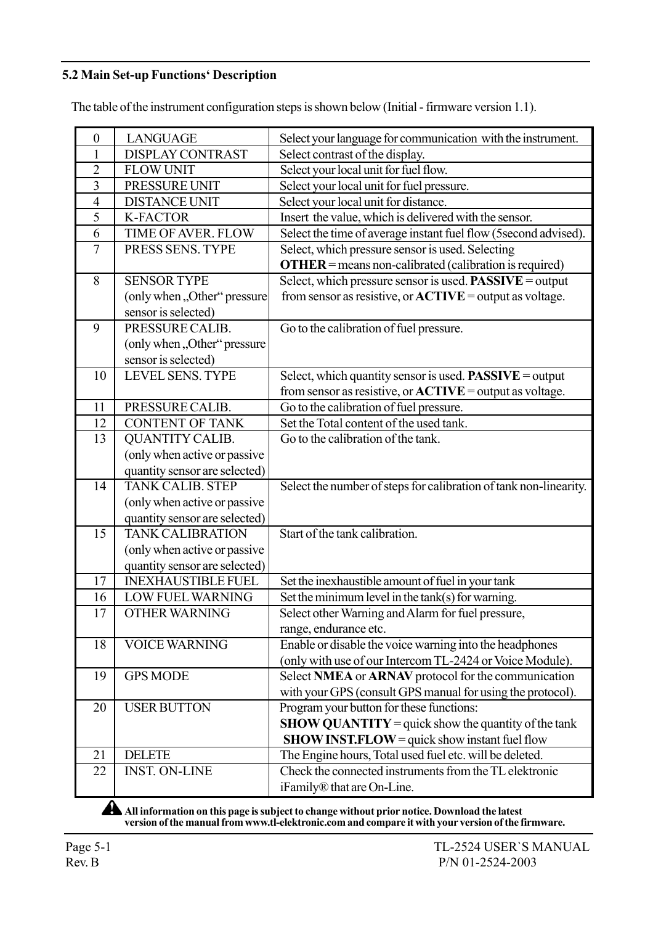#### 5.2 Main Set-up Functions' Description

The table of the instrument configuration steps is shown below (Initial - firmware version 1.1).

| $\boldsymbol{0}$ | <b>LANGUAGE</b>               | Select your language for communication with the instrument.       |
|------------------|-------------------------------|-------------------------------------------------------------------|
| 1                | <b>DISPLAY CONTRAST</b>       | Select contrast of the display.                                   |
| $\overline{2}$   | <b>FLOW UNIT</b>              | Select your local unit for fuel flow.                             |
| 3                | PRESSURE UNIT                 | Select your local unit for fuel pressure.                         |
| $\overline{4}$   | <b>DISTANCE UNIT</b>          | Select your local unit for distance.                              |
| 5                | <b>K-FACTOR</b>               | Insert the value, which is delivered with the sensor.             |
| 6                | TIME OF AVER. FLOW            | Select the time of average instant fuel flow (5 second advised).  |
| $\overline{7}$   | PRESS SENS. TYPE              | Select, which pressure sensor is used. Selecting                  |
|                  |                               | <b>OTHER</b> = means non-calibrated (calibration is required)     |
| 8                | <b>SENSOR TYPE</b>            | Select, which pressure sensor is used. <b>PASSIVE</b> = output    |
|                  | (only when "Other" pressure   | from sensor as resistive, or $ACTIVE =$ output as voltage.        |
|                  | sensor is selected)           |                                                                   |
| 9                | PRESSURE CALIB.               | Go to the calibration of fuel pressure.                           |
|                  | (only when "Other" pressure   |                                                                   |
|                  | sensor is selected)           |                                                                   |
| 10               | <b>LEVEL SENS. TYPE</b>       | Select, which quantity sensor is used. <b>PASSIVE</b> = output    |
|                  |                               | from sensor as resistive, or $ACTIVE =$ output as voltage.        |
| 11               | PRESSURE CALIB.               | Go to the calibration of fuel pressure.                           |
| 12               | <b>CONTENT OF TANK</b>        | Set the Total content of the used tank.                           |
| 13               | <b>QUANTITY CALIB.</b>        | Go to the calibration of the tank.                                |
|                  | (only when active or passive  |                                                                   |
|                  | quantity sensor are selected) |                                                                   |
| 14               | <b>TANK CALIB, STEP</b>       | Select the number of steps for calibration of tank non-linearity. |
|                  | (only when active or passive  |                                                                   |
|                  | quantity sensor are selected) |                                                                   |
| 15               | <b>TANK CALIBRATION</b>       | Start of the tank calibration.                                    |
|                  | (only when active or passive  |                                                                   |
|                  | quantity sensor are selected) |                                                                   |
| 17               | <b>INEXHAUSTIBLE FUEL</b>     | Set the inexhaustible amount of fuel in your tank                 |
| 16               | <b>LOW FUEL WARNING</b>       | Set the minimum level in the tank(s) for warning.                 |
| 17               | <b>OTHER WARNING</b>          | Select other Warning and Alarm for fuel pressure,                 |
|                  |                               | range, endurance etc.                                             |
| 18               | <b>VOICE WARNING</b>          | Enable or disable the voice warning into the headphones           |
|                  |                               | (only with use of our Intercom TL-2424 or Voice Module).          |
| 19               | <b>GPS MODE</b>               | Select NMEA or ARNAV protocol for the communication               |
|                  |                               | with your GPS (consult GPS manual for using the protocol).        |
| 20               | <b>USER BUTTON</b>            | Program your button for these functions:                          |
|                  |                               | <b>SHOW QUANTITY</b> = quick show the quantity of the tank        |
|                  |                               | <b>SHOW INST.FLOW</b> = quick show instant fuel flow              |
| 21               | <b>DELETE</b>                 | The Engine hours, Total used fuel etc. will be deleted.           |
| 22               | <b>INST. ON-LINE</b>          | Check the connected instruments from the TL elektronic            |
|                  |                               | iFamily® that are On-Line.                                        |

All information on this page is subject to change without prior notice. Download the latest version of the manual from www.tl-elektronic.com and compare it with your version of the firmware.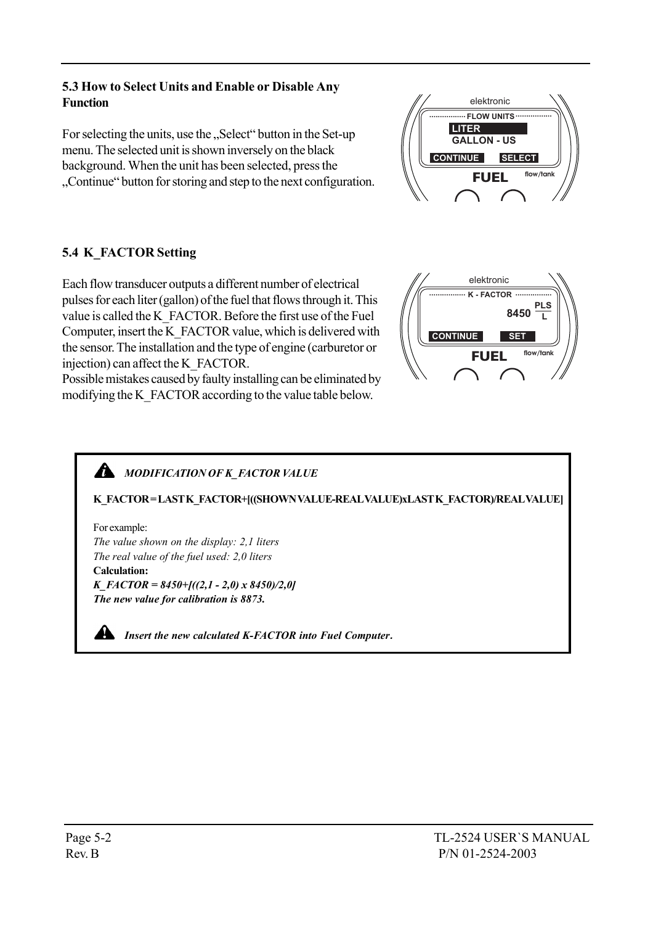#### 5.3 How to Select Units and Enable or Disable Any Function

For selecting the units, use the "Select" button in the Set-up menu. The selected unit is shown inversely on the black background. When the unit has been selected, press the "Continue" button for storing and step to the next configuration.

### 5.4 K\_FACTOR Setting

Each flow transducer outputs a different number of electrical pulses for each liter (gallon) of the fuel that flows through it. This value is called the K\_FACTOR. Before the first use of the Fuel Computer, insert the K\_FACTOR value, which is delivered with the sensor. The installation and the type of engine (carburetor or injection) can affect the K\_FACTOR.

Possible mistakes caused by faulty installing can be eliminated by modifying the K\_FACTOR according to the value table below.

## **MODIFICATION OF K\_FACTOR VALUE**

K\_FACTOR=LAST K\_FACTOR+[((SHOWN VALUE-REAL VALUE)xLAST K\_FACTOR)/REAL VALUE]

For example: The value shown on the display: 2,1 liters The real value of the fuel used: 2,0 liters Calculation:  $K\_FACTOR = 8450 + [(2,1 - 2,0) \times 8450]/2,0]$ 

The new value for calibration is 8873.

**All as Insert the new calculated K-FACTOR into Fuel Computer.** 





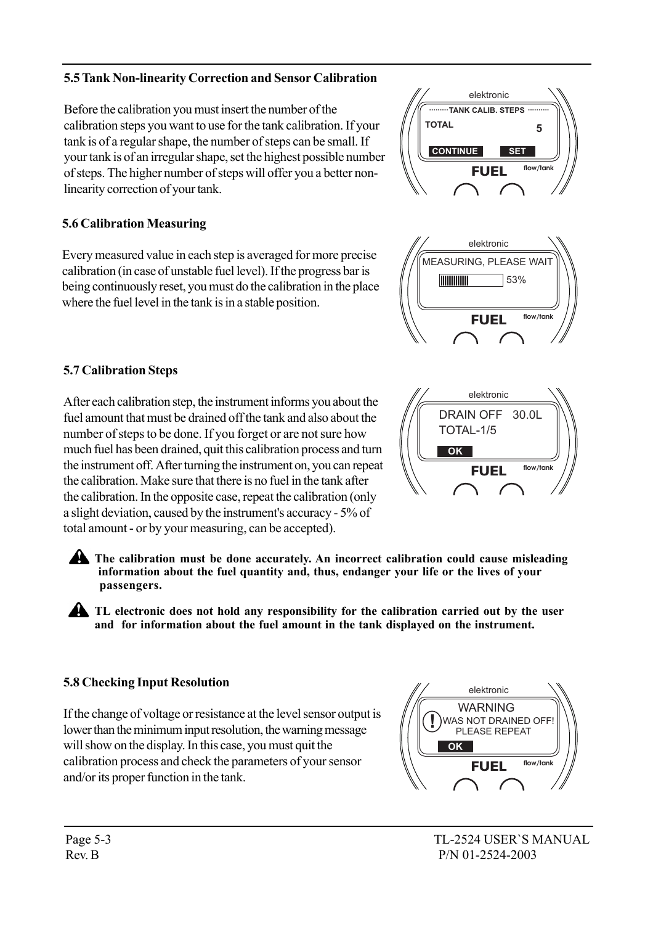Before the calibration you must insert the number of the calibration steps you want to use for the tank calibration. If your tank is of a regular shape, the number of steps can be small. If your tank is of an irregular shape, set the highest possible number of steps. The higher number of steps will offer you a better nonlinearity correction of your tank.

5.5 Tank Non-linearity Correction and Sensor Calibration

# 5.6 Calibration Measuring

Every measured value in each step is averaged for more precise calibration (in case of unstable fuel level). If the progress bar is being continuously reset, you must do the calibration in the place where the fuel level in the tank is in a stable position.

# 5.7 Calibration Steps

After each calibration step, the instrument informs you about the fuel amount that must be drained off the tank and also about the number of steps to be done. If you forget or are not sure how much fuel has been drained, quit this calibration process and turn the instrument off. After turning the instrument on, you can repeat the calibration. Make sure that there is no fuel in the tank after the calibration. In the opposite case, repeat the calibration (only a slight deviation, caused by the instrument's accuracy - 5% of total amount - or by your measuring, can be accepted).

The calibration must be done accurately. An incorrect calibration could cause misleading information about the fuel quantity and, thus, endanger your life or the lives of your passengers.

**ALCO** TL electronic does not hold any responsibility for the calibration carried out by the user and for information about the fuel amount in the tank displayed on the instrument.

# 5.8 Checking Input Resolution

If the change of voltage or resistance at the level sensor output is lower than the minimum input resolution, the warning message will show on the display. In this case, you must quit the calibration process and check the parameters of your sensor and/or its proper function in the tank.







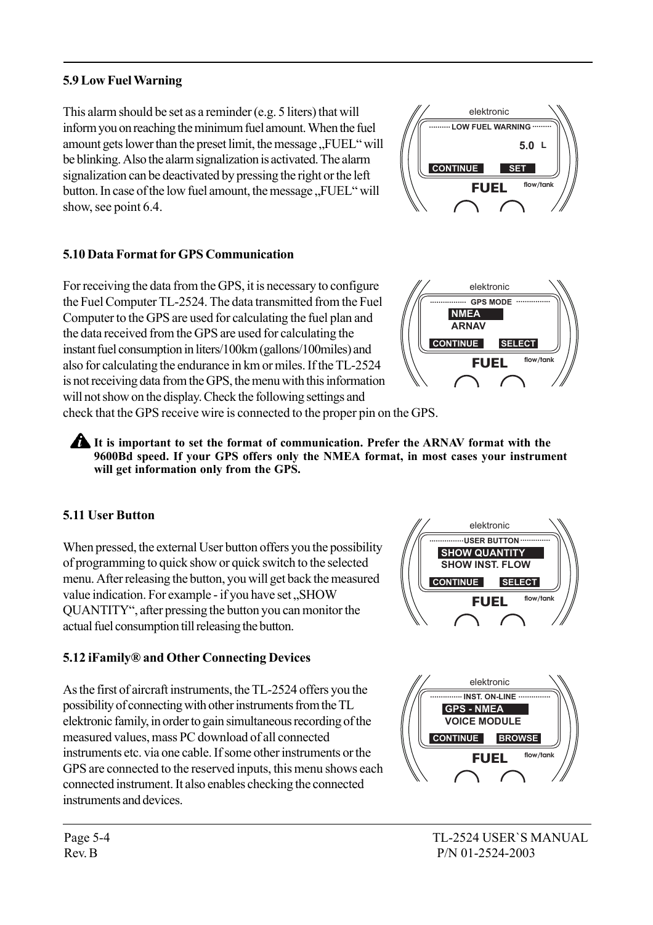#### 5.9 Low Fuel Warning

This alarm should be set as a reminder (e.g. 5 liters) that will inform you on reaching the minimum fuel amount. When the fuel amount gets lower than the preset limit, the message "FUEL" will be blinking. Also the alarm signalization is activated. The alarm signalization can be deactivated by pressing the right or the left button. In case of the low fuel amount, the message ..FUEL<sup>\*</sup> will show, see point 6.4.

#### 5.10 Data Format for GPS Communication

For receiving the data from the GPS, it is necessary to configure the Fuel Computer TL-2524. The data transmitted from the Fuel Computer to the GPS are used for calculating the fuel plan and the data received from the GPS are used for calculating the instant fuel consumption in liters/100km (gallons/100miles) and also for calculating the endurance in km or miles. If the TL-2524 is not receiving data from the GPS, the menu with this information will not show on the display. Check the following settings and





check that the GPS receive wire is connected to the proper pin on the GPS.

It is important to set the format of communication. Prefer the ARNAV format with the 9600Bd speed. If your GPS offers only the NMEA format, in most cases your instrument will get information only from the GPS.

### 5.11 User Button

When pressed, the external User button offers you the possibility of programming to quick show or quick switch to the selected menu. After releasing the button, you will get back the measured value indication. For example - if you have set "SHOW QUANTITY", after pressing the button you can monitor the actual fuel consumption till releasing the button.

### 5.12 iFamily® and Other Connecting Devices

As the first of aircraft instruments, the TL-2524 offers you the possibility of connecting with other instruments from the TL elektronic family, in order to gain simultaneous recording of the measured values, mass PC download of all connected instruments etc. via one cable. If some other instruments or the GPS are connected to the reserved inputs, this menu shows each connected instrument. It also enables checking the connected instruments and devices.



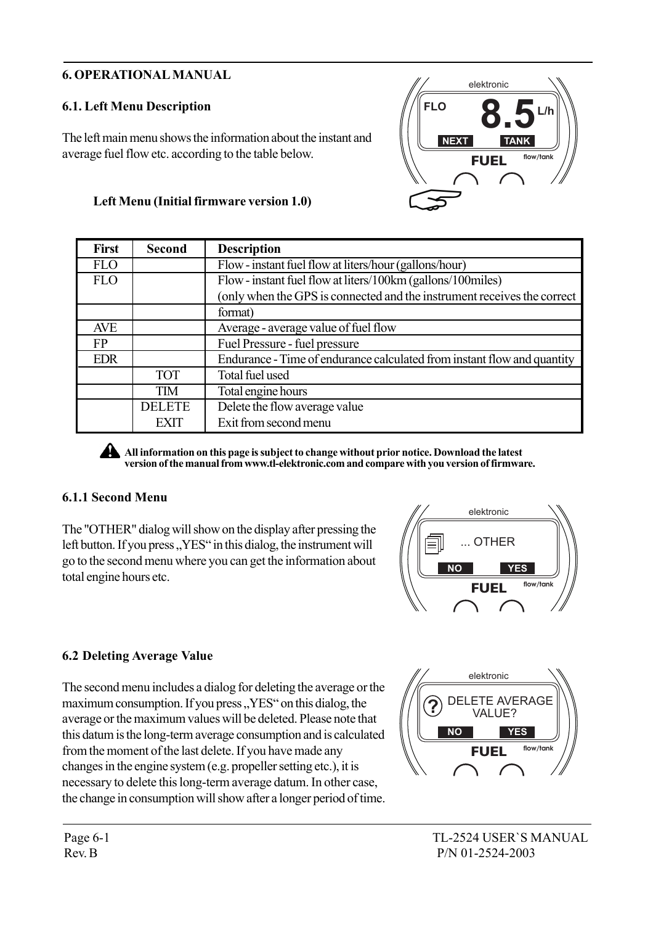#### 6. OPERATIONAL MANUAL

### 6.1. Left Menu Description

The left main menu shows the information about the instant and average fuel flow etc. according to the table below.

#### Left Menu (Initial firmware version 1.0)

| <b>First</b> | <b>Second</b> | <b>Description</b>                                                      |  |
|--------------|---------------|-------------------------------------------------------------------------|--|
| <b>FLO</b>   |               | Flow - instant fuel flow at liters/hour (gallons/hour)                  |  |
| <b>FLO</b>   |               | Flow - instant fuel flow at liters/100km (gallons/100miles)             |  |
|              |               | (only when the GPS is connected and the instrument receives the correct |  |
|              |               | format)                                                                 |  |
| AVE          |               | Average - average value of fuel flow                                    |  |
| FP           |               | Fuel Pressure - fuel pressure                                           |  |
| <b>EDR</b>   |               | Endurance - Time of endurance calculated from instant flow and quantity |  |
|              | <b>TOT</b>    | Total fuel used                                                         |  |
|              | <b>TIM</b>    | Total engine hours                                                      |  |
|              | <b>DELETE</b> | Delete the flow average value                                           |  |
|              | EXIT          | Exit from second menu                                                   |  |

All information on this page is subject to change without prior notice. Download the latest version of the manual from www.tl-elektronic.com and compare with you version of firmware.

#### 6.1.1 Second Menu

The "OTHER" dialog will show on the display after pressing the left button. If you press, YES<sup>\*</sup> in this dialog, the instrument will go to the second menu where you can get the information about total engine hours etc.



### 6.2 Deleting Average Value

The second menu includes a dialog for deleting the average or the maximum consumption. If you press, YES<sup>"</sup> on this dialog, the average or the maximum values will be deleted. Please note that this datum is the long-term average consumption and is calculated from the moment of the last delete. If you have made any changes in the engine system (e.g. propeller setting etc.), it is necessary to delete this long-term average datum. In other case, the change in consumption will show after a longer period of time.



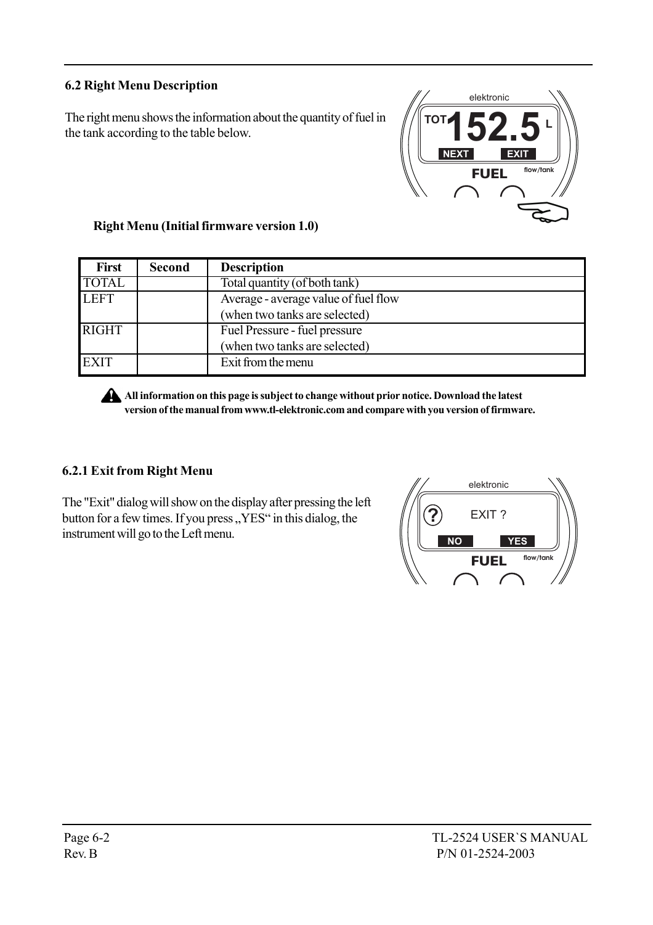#### 6.2 Right Menu Description

The right menu shows the information about the quantity of fuel in the tank according to the table below.



#### Right Menu (Initial firmware version 1.0)

| <b>First</b> | <b>Second</b> | <b>Description</b>                   |  |
|--------------|---------------|--------------------------------------|--|
| <b>TOTAL</b> |               | Total quantity (of both tank)        |  |
| <b>LEFT</b>  |               | Average - average value of fuel flow |  |
|              |               | (when two tanks are selected)        |  |
| <b>RIGHT</b> |               | Fuel Pressure - fuel pressure        |  |
|              |               | (when two tanks are selected)        |  |
| <b>EXIT</b>  |               | Exit from the menu                   |  |

All information on this page is subject to change without prior notice. Download the latest version of the manual from www.tl-elektronic.com and compare with you version of firmware.

#### 6.2.1 Exit from Right Menu

The "Exit" dialog will show on the display after pressing the left button for a few times. If you press, YES<sup>\*</sup> in this dialog, the instrument will go to the Left menu.

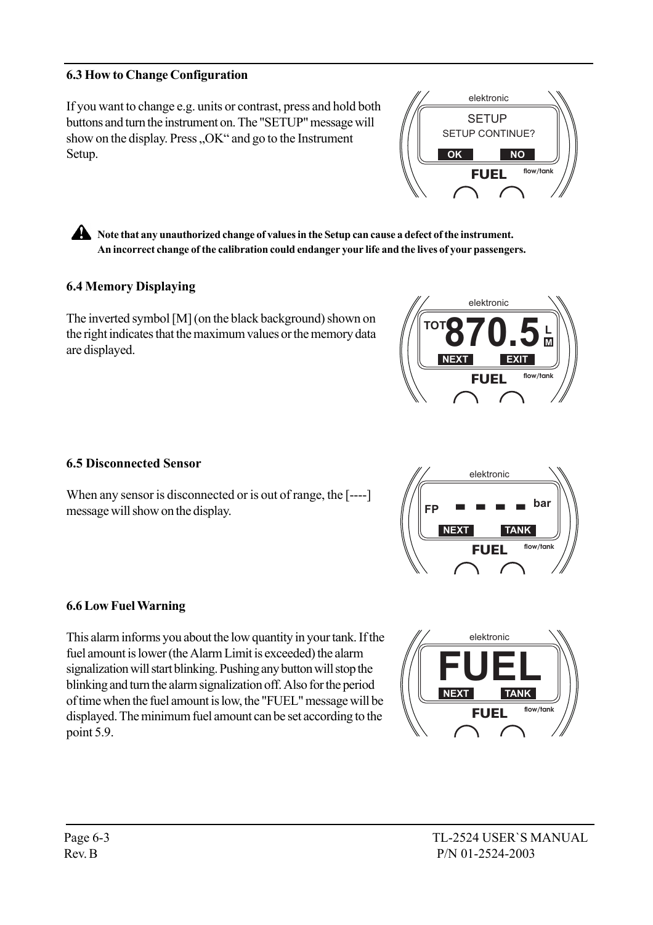#### 6.3 How to Change Configuration

If you want to change e.g. units or contrast, press and hold both buttons and turn the instrument on. The "SETUP" message will show on the display. Press "OK" and go to the Instrument Setup.

**OK NO** FUEL **flow/tank SETUP** SETUP CONTINUE?

elektronic

**A** Note that any unauthorized change of values in the Setup can cause a defect of the instrument. An incorrect change of the calibration could endanger your life and the lives of your passengers.

#### 6.4 Memory Displaying

The inverted symbol [M] (on the black background) shown on the right indicates that the maximum values or the memory data are displayed.



**FP ----**

**NEXT TANK**

FUEL **flow/tank**

**bar**

elektronic

#### 6.5 Disconnected Sensor

When any sensor is disconnected or is out of range, the [----] message will show on the display.

#### 6.6 Low Fuel Warning

This alarm informs you about the low quantity in your tank. If the fuel amount is lower (the Alarm Limit is exceeded) the alarm signalization will start blinking. Pushing any button will stop the blinking and turn the alarm signalization off. Also for the period of time when the fuel amount is low, the "FUEL" message will be displayed. The minimum fuel amount can be set according to the point 5.9.

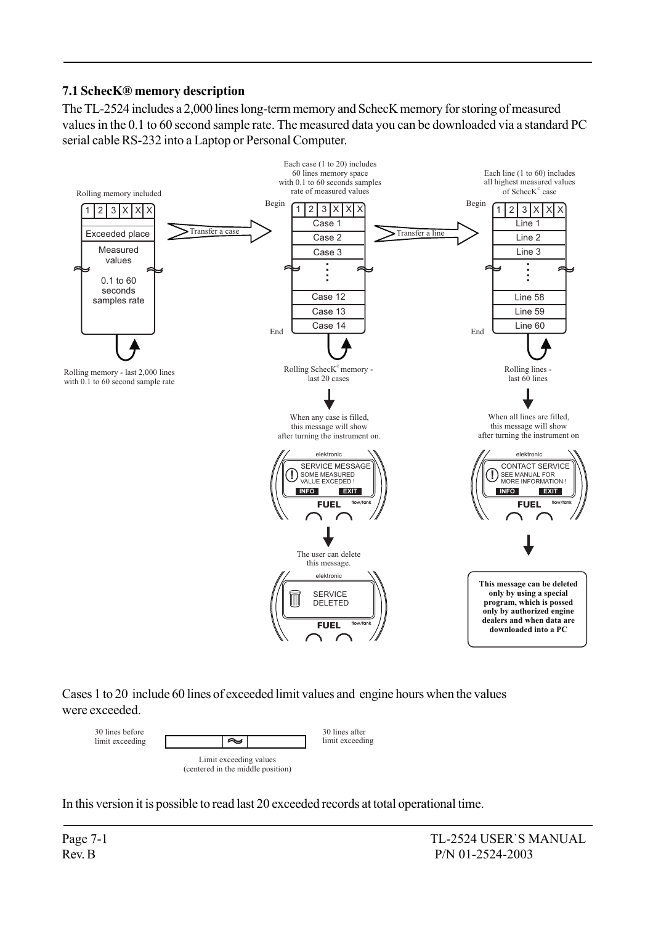#### 7.1 SchecKÆ memory description

The TL-2524 includes a 2,000 lines long-term memory and SchecK memory for storing of measured values in the 0.1 to 60 second sample rate. The measured data you can be downloaded via a standard PC serial cable RS-232 into a Laptop or Personal Computer.



Cases 1 to 20 include 60 lines of exceeded limit values and engine hours when the values were exceeded.



In this version it is possible to read last 20 exceeded records at total operational time.